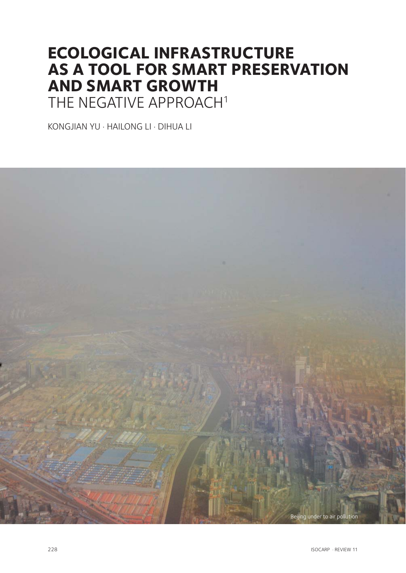# **ECOLOGICAL INFRASTRUCTURE AS A TOOL FOR SMART PRESERVATION AND SMART GROWTH** THE NEGATIVE APPROACH<sup>1</sup>

KONGJIAN YU · HAILONG LI · DIHUA LI

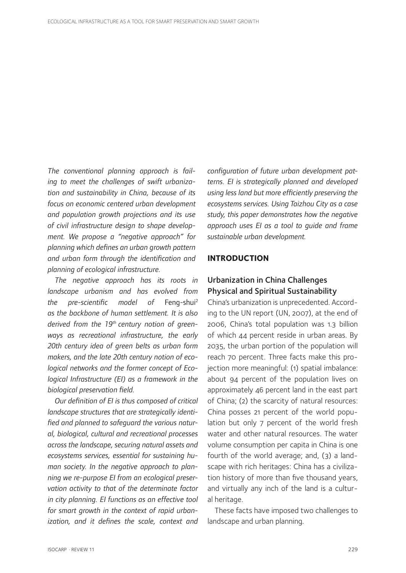*The conventional planning approach is failing to meet the challenges of swift urbanization and sustainability in China, because of its focus on economic centered urban development and population growth projections and its use of civil infrastructure design to shape development. We propose a "negative approach" for planning which defines an urban growth pattern and urban form through the identification and planning of ecological infrastructure.* 

*The negative approach has its roots in landscape urbanism and has evolved from the pre-scientific model of* Feng-shui2 *as the backbone of human settlement. It is also*  derived from the 19<sup>th</sup> century notion of green*ways as recreational infrastructure, the early 20th century idea of green belts as urban form makers, and the late 20th century notion of ecological networks and the former concept of Ecological Infrastructure (EI) as a framework in the biological preservation field.*

*Our definition of EI is thus composed of critical landscape structures that are strategically identified and planned to safeguard the various natural, biological, cultural and recreational processes across the landscape, securing natural assets and ecosystems services, essential for sustaining human society. In the negative approach to planning we re-purpose EI from an ecological preservation activity to that of the determinate factor in city planning. EI functions as an effective tool for smart growth in the context of rapid urbanization, and it defines the scale, context and*  *configuration of future urban development patterns. EI is strategically planned and developed using less land but more efficiently preserving the ecosystems services. Using Taizhou City as a case study, this paper demonstrates how the negative approach uses EI as a tool to guide and frame sustainable urban development.* 

#### **INTRODUCTION**

## Urbanization in China Challenges Physical and Spiritual Sustainability

China's urbanization is unprecedented. According to the UN report (UN, 2007), at the end of 2006, China's total population was 1.3 billion of which 44 percent reside in urban areas. By 2035, the urban portion of the population will reach 70 percent. Three facts make this projection more meaningful: (1) spatial imbalance: about 94 percent of the population lives on approximately 46 percent land in the east part of China; (2) the scarcity of natural resources: China posses 21 percent of the world population but only 7 percent of the world fresh water and other natural resources. The water volume consumption per capita in China is one fourth of the world average; and, (3) a landscape with rich heritages: China has a civilization history of more than five thousand years, and virtually any inch of the land is a cultural heritage.

These facts have imposed two challenges to landscape and urban planning.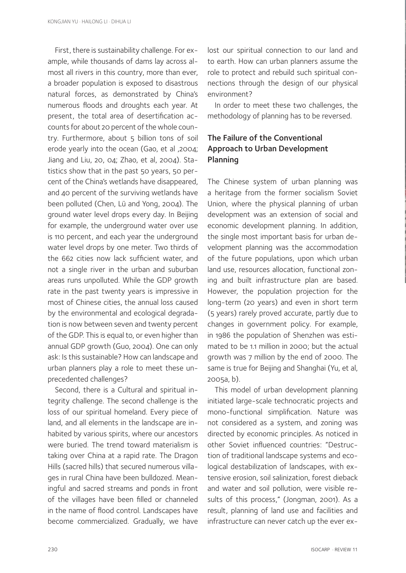First, there is sustainability challenge. For example, while thousands of dams lay across almost all rivers in this country, more than ever, a broader population is exposed to disastrous natural forces, as demonstrated by China's numerous floods and droughts each year. At present, the total area of desertification accounts for about 20 percent of the whole country. Furthermore, about 5 billion tons of soil erode yearly into the ocean (Gao, et al ,2004; Jiang and Liu, 20, 04; Zhao, et al, 2004). Statistics show that in the past 50 years, 50 percent of the China's wetlands have disappeared, and 40 percent of the surviving wetlands have been polluted (Chen, Lü and Yong, 2004). The ground water level drops every day. In Beijing for example, the underground water over use is 110 percent, and each year the underground water level drops by one meter. Two thirds of the 662 cities now lack sufficient water, and not a single river in the urban and suburban areas runs unpolluted. While the GDP growth rate in the past twenty years is impressive in most of Chinese cities, the annual loss caused by the environmental and ecological degradation is now between seven and twenty percent of the GDP. This is equal to, or even higher than annual GDP growth (Guo, 2004). One can only ask: Is this sustainable? How can landscape and urban planners play a role to meet these unprecedented challenges?

Second, there is a Cultural and spiritual integrity challenge. The second challenge is the loss of our spiritual homeland. Every piece of land, and all elements in the landscape are inhabited by various spirits, where our ancestors were buried. The trend toward materialism is taking over China at a rapid rate. The Dragon Hills (sacred hills) that secured numerous villages in rural China have been bulldozed. Meaningful and sacred streams and ponds in front of the villages have been filled or channeled in the name of flood control. Landscapes have become commercialized. Gradually, we have lost our spiritual connection to our land and to earth. How can urban planners assume the role to protect and rebuild such spiritual connections through the design of our physical environment?

In order to meet these two challenges, the methodology of planning has to be reversed.

# The Failure of the Conventional Approach to Urban Development Planning

The Chinese system of urban planning was a heritage from the former socialism Soviet Union, where the physical planning of urban development was an extension of social and economic development planning. In addition, the single most important basis for urban development planning was the accommodation of the future populations, upon which urban land use, resources allocation, functional zoning and built infrastructure plan are based. However, the population projection for the long-term (20 years) and even in short term (5 years) rarely proved accurate, partly due to changes in government policy. For example, in 1986 the population of Shenzhen was estimated to be 1.1 million in 2000; but the actual growth was 7 million by the end of 2000. The same is true for Beijing and Shanghai (Yu, et al, 2005a, b).

This model of urban development planning initiated large-scale technocratic projects and mono-functional simplification. Nature was not considered as a system, and zoning was directed by economic principles. As noticed in other Soviet influenced countries: "Destruction of traditional landscape systems and ecological destabilization of landscapes, with extensive erosion, soil salinization, forest dieback and water and soil pollution, were visible results of this process," (Jongman, 2001). As a result, planning of land use and facilities and infrastructure can never catch up the ever ex-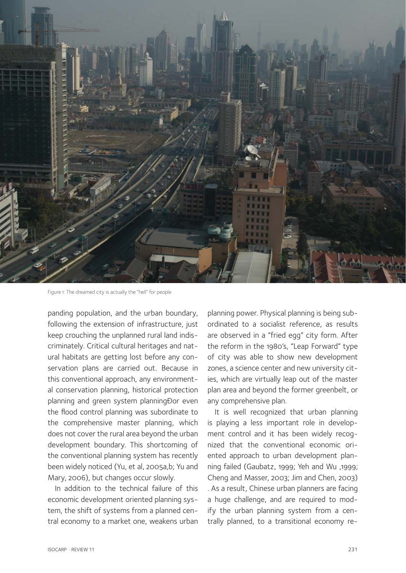

Figure 1: The dreamed city is actually the "hell" for people

panding population, and the urban boundary, following the extension of infrastructure, just keep crouching the unplanned rural land indiscriminately. Critical cultural heritages and natural habitats are getting lost before any conservation plans are carried out. Because in this conventional approach, any environmental conservation planning, historical protection planning and green system planningÐor even the flood control planning was subordinate to the comprehensive master planning, which does not cover the rural area beyond the urban development boundary. This shortcoming of the conventional planning system has recently been widely noticed (Yu, et al, 2005a,b; Yu and Mary, 2006), but changes occur slowly.

In addition to the technical failure of this economic development oriented planning system, the shift of systems from a planned central economy to a market one, weakens urban planning power. Physical planning is being subordinated to a socialist reference, as results are observed in a "fried egg" city form. After the reform in the 1980's, "Leap Forward" type of city was able to show new development zones, a science center and new university cities, which are virtually leap out of the master plan area and beyond the former greenbelt, or any comprehensive plan.

It is well recognized that urban planning is playing a less important role in development control and it has been widely recognized that the conventional economic oriented approach to urban development planning failed (Gaubatz, 1999; Yeh and Wu ,1999; Cheng and Masser, 2003; Jim and Chen, 2003) . As a result, Chinese urban planners are facing a huge challenge, and are required to modify the urban planning system from a centrally planned, to a transitional economy re-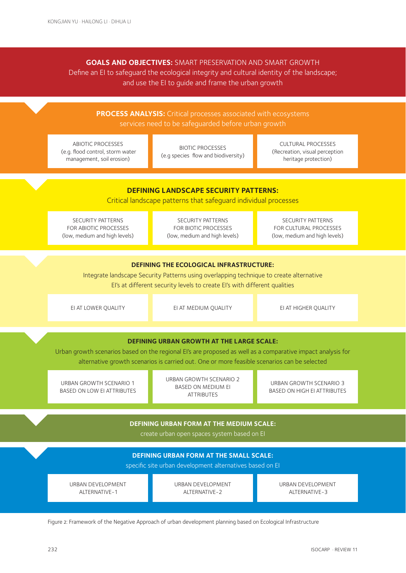**GOALS AND OBJECTIVES:** SMART PRESERVATION AND SMART GROWTH Define an EI to safequard the ecological integrity and cultural identity of the landscape; and use the EI to guide and frame the urban growth

#### **PROCESS ANALYSIS:** Critical processes associated with ecosystems services need to be safeguarded before urban growth

ABIOTIC PROCESSES (e.g. flood control, storm water management, soil erosion)

BIOTIC PROCESSES (e.g species flow and biodiversity)

CULTURAL PROCESSES (Recreation, visual perception heritage protection)

## **DEFINING LANDSCAPE SECURITY PATTERNS:**

Critical landscape patterns that safeguard individual processes

SECURITY PATTERNS FOR ABIOTIC PROCESSES (low, medium and high levels)

SECURITY PATTERNS FOR BIOTIC PROCESSES (low, medium and high levels)

SECURITY PATTERNS FOR CULTURAL PROCESSES (low, medium and high levels)

#### **DEFINING THE ECOLOGICAL INFRASTRUCTURE:**

Integrate landscape Security Patterns using overlapping technique to create alternative EI's at different security levels to create EI's with different qualities

EI AT LOWER QUALITY

EI AT MEDIUM QUALITY

EI AT HIGHER QUALITY

#### **DEFINING URBAN GROWTH AT THE LARGE SCALE:**

Urban growth scenarios based on the regional EI's are proposed as well as a comparative impact analysis for alternative growth scenarios is carried out. One or more feasible scenarios can be selected

URBAN GROWTH SCENARIO 1 BASED ON LOW EI ATTRIBUTES URBAN GROWTH SCENARIO 2 BASED ON MEDIUM EI ATTRIBUTES

URBAN GROWTH SCENARIO 3 BASED ON HIGH EI ATTRIBUTES

#### **DEFINING URBAN FORM AT THE MEDIUM SCALE:**

create urban open spaces system based on EI

#### **DEFINING URBAN FORM AT THE SMALL SCALE:**

specific site urban development alternatives based on EI

URBAN DEVELOPMENT ALTERNATIVE-1

URBAN DEVELOPMENT ALTERNATIVE-2

URBAN DEVELOPMENT ALTERNATIVE-3

Figure 2: Framework of the Negative Approach of urban development planning based on Ecological Infrastructure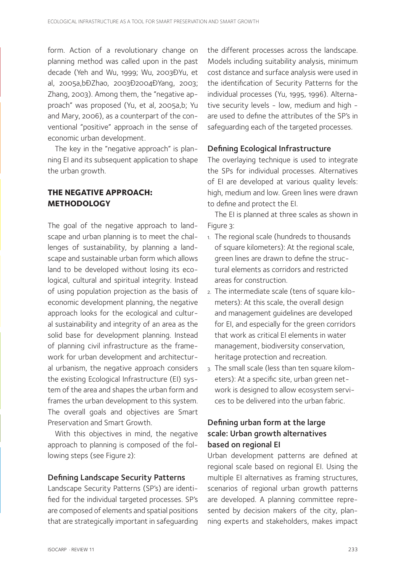form. Action of a revolutionary change on planning method was called upon in the past decade (Yeh and Wu, 1999; Wu, 2003ÐYu, et al, 2005a,bÐZhao, 2003Ð2004ÐYang, 2003; Zhang, 2003). Among them, the "negative approach" was proposed (Yu, et al, 2005a,b; Yu and Mary, 2006), as a counterpart of the conventional "positive" approach in the sense of economic urban development.

The key in the "negative approach" is planning EI and its subsequent application to shape the urban growth.

# **THE NEGATIVE APPROACH: METHODOLOGY**

The goal of the negative approach to landscape and urban planning is to meet the challenges of sustainability, by planning a landscape and sustainable urban form which allows land to be developed without losing its ecological, cultural and spiritual integrity. Instead of using population projection as the basis of economic development planning, the negative approach looks for the ecological and cultural sustainability and integrity of an area as the solid base for development planning. Instead of planning civil infrastructure as the framework for urban development and architectural urbanism, the negative approach considers the existing Ecological Infrastructure (EI) system of the area and shapes the urban form and frames the urban development to this system. The overall goals and objectives are Smart Preservation and Smart Growth.

With this objectives in mind, the negative approach to planning is composed of the following steps (see Figure 2):

#### Defining Landscape Security Patterns

Landscape Security Patterns (SP's) are identified for the individual targeted processes. SP's are composed of elements and spatial positions that are strategically important in safeguarding the different processes across the landscape. Models including suitability analysis, minimum cost distance and surface analysis were used in the identification of Security Patterns for the individual processes (Yu, 1995, 1996). Alternative security levels - low, medium and high are used to define the attributes of the SP's in safeguarding each of the targeted processes.

#### Defining Ecological Infrastructure

The overlaying technique is used to integrate the SPs for individual processes. Alternatives of EI are developed at various quality levels: high, medium and low. Green lines were drawn to define and protect the EI.

The EI is planned at three scales as shown in Figure 3:

- 1. The regional scale (hundreds to thousands of square kilometers): At the regional scale, green lines are drawn to define the structural elements as corridors and restricted areas for construction.
- 2. The intermediate scale (tens of square kilometers): At this scale, the overall design and management guidelines are developed for EI, and especially for the green corridors that work as critical EI elements in water management, biodiversity conservation, heritage protection and recreation.
- 3. The small scale (less than ten square kilometers): At a specific site, urban green network is designed to allow ecosystem services to be delivered into the urban fabric.

# Defining urban form at the large scale: Urban growth alternatives based on regional EI

Urban development patterns are defined at regional scale based on regional EI. Using the multiple EI alternatives as framing structures, scenarios of regional urban growth patterns are developed. A planning committee represented by decision makers of the city, planning experts and stakeholders, makes impact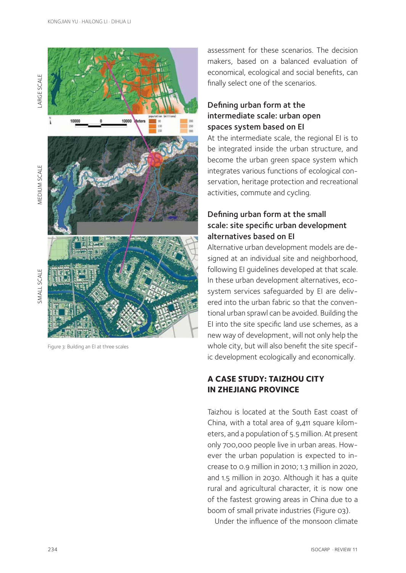

Figure 3: Building an EI at three scales

assessment for these scenarios. The decision makers, based on a balanced evaluation of economical, ecological and social benefits, can finally select one of the scenarios.

# Defining urban form at the intermediate scale: urban open spaces system based on EI

At the intermediate scale, the regional EI is to be integrated inside the urban structure, and become the urban green space system which integrates various functions of ecological conservation, heritage protection and recreational activities, commute and cycling.

# Defining urban form at the small scale: site specific urban development alternatives based on EI

Alternative urban development models are designed at an individual site and neighborhood, following EI guidelines developed at that scale. In these urban development alternatives, ecosystem services safeguarded by EI are delivered into the urban fabric so that the conventional urban sprawl can be avoided. Building the EI into the site specific land use schemes, as a new way of development, will not only help the whole city, but will also benefit the site specific development ecologically and economically.

## **A CASE STUDY: TAIZHOU CITY IN ZHEJIANG PROVINCE**

Taizhou is located at the South East coast of China, with a total area of 9,411 square kilometers, and a population of 5.5 million. At present only 700,000 people live in urban areas. However the urban population is expected to increase to 0.9 million in 2010; 1.3 million in 2020, and 1.5 million in 2030. Although it has a quite rural and agricultural character, it is now one of the fastest growing areas in China due to a boom of small private industries (Figure 03).

Under the influence of the monsoon climate

**SMALL SCALE** SMALL SCALE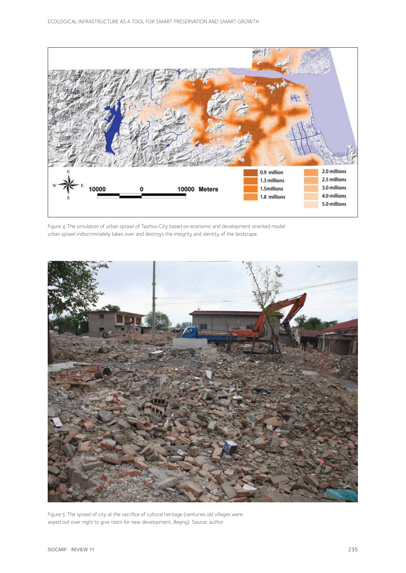

Figure 4: The simulation of urban sprawl of Taizhou City based on economic and development oriented model: urban sprawl indiscriminately takes over and destroys the integrity and identity of the landscape.



Figure 5: The sprawl of city at the sacrifice of cultural heritage (centuries old villages were wiped out over night to give room for new development, Beijing). Source: author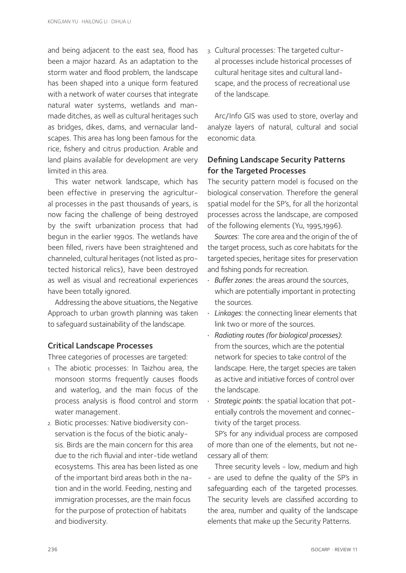and being adjacent to the east sea, flood has been a major hazard. As an adaptation to the storm water and flood problem, the landscape has been shaped into a unique form featured with a network of water courses that integrate natural water systems, wetlands and manmade ditches, as well as cultural heritages such as bridges, dikes, dams, and vernacular landscapes. This area has long been famous for the rice, fishery and citrus production. Arable and land plains available for development are very limited in this area.

This water network landscape, which has been effective in preserving the agricultural processes in the past thousands of years, is now facing the challenge of being destroyed by the swift urbanization process that had begun in the earlier 1990s. The wetlands have been filled, rivers have been straightened and channeled, cultural heritages (not listed as protected historical relics), have been destroyed as well as visual and recreational experiences have been totally ignored.

Addressing the above situations, the Negative Approach to urban growth planning was taken to safeguard sustainability of the landscape.

#### Critical Landscape Processes

Three categories of processes are targeted:

- 1. The abiotic processes: In Taizhou area, the monsoon storms frequently causes floods and waterlog, and the main focus of the process analysis is flood control and storm water management.
- 2. Biotic processes: Native biodiversity conservation is the focus of the biotic analysis. Birds are the main concern for this area due to the rich fluvial and inter-tide wetland ecosystems. This area has been listed as one of the important bird areas both in the nation and in the world. Feeding, nesting and immigration processes, are the main focus for the purpose of protection of habitats and biodiversity.

3. Cultural processes: The targeted cultural processes include historical processes of cultural heritage sites and cultural landscape, and the process of recreational use of the landscape.

Arc/Info GIS was used to store, overlay and analyze layers of natural, cultural and social economic data.

# Defining Landscape Security Patterns for the Targeted Processes

The security pattern model is focused on the biological conservation. Therefore the general spatial model for the SP's, for all the horizontal processes across the landscape, are composed of the following elements (Yu, 1995,1996).

*Sources*: The core area and the origin of the of the target process, such as core habitats for the targeted species, heritage sites for preservation and fishing ponds for recreation.

- ∙ *Buffer zones*: the areas around the sources, which are potentially important in protecting the sources.
- ∙ *Linkages*: the connecting linear elements that link two or more of the sources.
- ∙ *Radiating routes (for biological processes)*: from the sources, which are the potential network for species to take control of the landscape. Here, the target species are taken as active and initiative forces of control over the landscape.
- ∙ *Strategic points*: the spatial location that potentially controls the movement and connectivity of the target process.

SP's for any individual process are composed of more than one of the elements, but not necessary all of them:

Three security levels - low, medium and high - are used to define the quality of the SP's in safeguarding each of the targeted processes. The security levels are classified according to the area, number and quality of the landscape elements that make up the Security Patterns.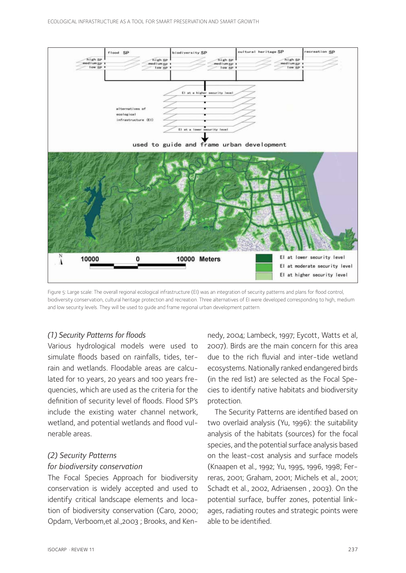

Figure 5: Large scale: The overall regional ecological infrastructure (EI) was an integration of security patterns and plans for flood control, biodiversity conservation, cultural heritage protection and recreation. Three alternatives of EI were developed corresponding to high, medium and low security levels. They will be used to guide and frame regional urban development pattern.

#### *(1) Security Patterns for floods*

Various hydrological models were used to simulate floods based on rainfalls, tides, terrain and wetlands. Floodable areas are calculated for 10 years, 20 years and 100 years frequencies, which are used as the criteria for the definition of security level of floods. Flood SP's include the existing water channel network, wetland, and potential wetlands and flood vulnerable areas.

### *(2) Security Patterns*

#### *for biodiversity conservation*

The Focal Species Approach for biodiversity conservation is widely accepted and used to identify critical landscape elements and location of biodiversity conservation (Caro, 2000; Opdam, Verboom,et al.,2003 ; Brooks, and Kennedy, 2004; Lambeck, 1997; Eycott, Watts et al, 2007). Birds are the main concern for this area due to the rich fluvial and inter-tide wetland ecosystems. Nationally ranked endangered birds (in the red list) are selected as the Focal Species to identify native habitats and biodiversity protection.

The Security Patterns are identified based on two overlaid analysis (Yu, 1996): the suitability analysis of the habitats (sources) for the focal species, and the potential surface analysis based on the least-cost analysis and surface models (Knaapen et al., 1992; Yu, 1995, 1996, 1998; Ferreras, 2001; Graham, 2001; Michels et al., 2001; Schadt et al., 2002, Adriaensen , 2003). On the potential surface, buffer zones, potential linkages, radiating routes and strategic points were able to be identified.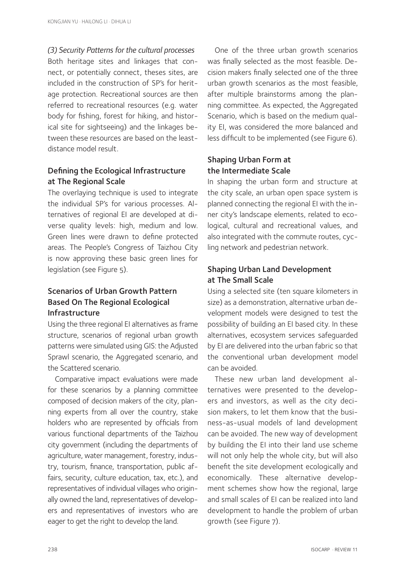*(3) Security Patterns for the cultural processes*

Both heritage sites and linkages that connect, or potentially connect, theses sites, are included in the construction of SP's for heritage protection. Recreational sources are then referred to recreational resources (e.g. water body for fishing, forest for hiking, and historical site for sightseeing) and the linkages between these resources are based on the leastdistance model result.

## Defining the Ecological Infrastructure at The Regional Scale

The overlaying technique is used to integrate the individual SP's for various processes. Alternatives of regional EI are developed at diverse quality levels: high, medium and low. Green lines were drawn to define protected areas. The People's Congress of Taizhou City is now approving these basic green lines for legislation (see Figure 5).

# Scenarios of Urban Growth Pattern Based On The Regional Ecological Infrastructure

Using the three regional EI alternatives as frame structure, scenarios of regional urban growth patterns were simulated using GIS: the Adjusted Sprawl scenario, the Aggregated scenario, and the Scattered scenario.

Comparative impact evaluations were made for these scenarios by a planning committee composed of decision makers of the city, planning experts from all over the country, stake holders who are represented by officials from various functional departments of the Taizhou city government (including the departments of agriculture, water management, forestry, industry, tourism, finance, transportation, public affairs, security, culture education, tax, etc.), and representatives of individual villages who originally owned the land, representatives of developers and representatives of investors who are eager to get the right to develop the land.

One of the three urban growth scenarios was finally selected as the most feasible. Decision makers finally selected one of the three urban growth scenarios as the most feasible, after multiple brainstorms among the planning committee. As expected, the Aggregated Scenario, which is based on the medium quality EI, was considered the more balanced and less difficult to be implemented (see Figure 6).

# Shaping Urban Form at the Intermediate Scale

In shaping the urban form and structure at the city scale, an urban open space system is planned connecting the regional EI with the inner city's landscape elements, related to ecological, cultural and recreational values, and also integrated with the commute routes, cycling network and pedestrian network.

# Shaping Urban Land Development at The Small Scale

Using a selected site (ten square kilometers in size) as a demonstration, alternative urban development models were designed to test the possibility of building an EI based city. In these alternatives, ecosystem services safeguarded by EI are delivered into the urban fabric so that the conventional urban development model can be avoided.

These new urban land development alternatives were presented to the developers and investors, as well as the city decision makers, to let them know that the business-as-usual models of land development can be avoided. The new way of development by building the EI into their land use scheme will not only help the whole city, but will also benefit the site development ecologically and economically. These alternative development schemes show how the regional, large and small scales of EI can be realized into land development to handle the problem of urban growth (see Figure 7).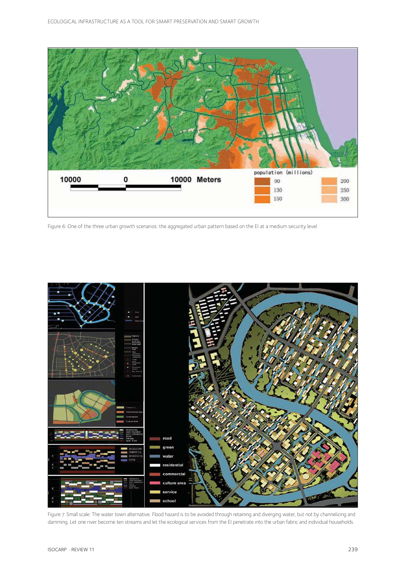

Figure 6: One of the three urban growth scenarios: the aggregated urban pattern based on the EI at a medium security level



Figure 7: Small scale: The water town alternative. Flood hazard is to be avoided through retaining and diverging water, but not by channelizing and damming. Let one river become ten streams and let the ecological services from the EI penetrate into the urban fabric and individual households.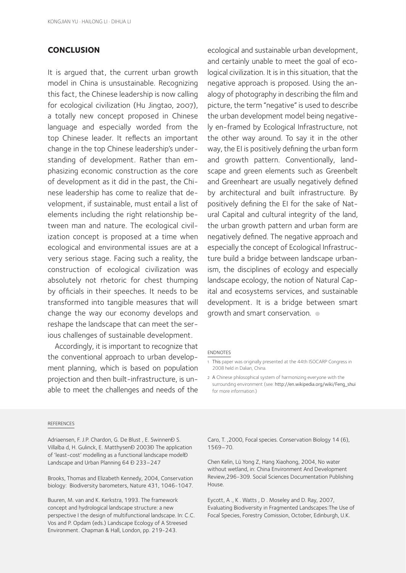### **CONCLUSION**

It is argued that, the current urban growth model in China is unsustainable. Recognizing this fact, the Chinese leadership is now calling for ecological civilization (Hu Jingtao, 2007), a totally new concept proposed in Chinese language and especially worded from the top Chinese leader. It reflects an important change in the top Chinese leadership's understanding of development. Rather than emphasizing economic construction as the core of development as it did in the past, the Chinese leadership has come to realize that development, if sustainable, must entail a list of elements including the right relationship between man and nature. The ecological civilization concept is proposed at a time when ecological and environmental issues are at a very serious stage. Facing such a reality, the construction of ecological civilization was absolutely not rhetoric for chest thumping by officials in their speeches. It needs to be transformed into tangible measures that will change the way our economy develops and reshape the landscape that can meet the serious challenges of sustainable development.

Accordingly, it is important to recognize that the conventional approach to urban development planning, which is based on population projection and then built-infrastructure, is unable to meet the challenges and needs of the ecological and sustainable urban development, and certainly unable to meet the goal of ecological civilization. It is in this situation, that the negative approach is proposed. Using the analogy of photography in describing the film and picture, the term "negative" is used to describe the urban development model being negatively en-framed by Ecological Infrastructure, not the other way around. To say it in the other way, the EI is positively defining the urban form and growth pattern. Conventionally, landscape and green elements such as Greenbelt and Greenheart are usually negatively defined by architectural and built infrastructure. By positively defining the EI for the sake of Natural Capital and cultural integrity of the land, the urban growth pattern and urban form are negatively defined. The negative approach and especially the concept of Ecological Infrastructure build a bridge between landscape urbanism, the disciplines of ecology and especially landscape ecology, the notion of Natural Capital and ecosystems services, and sustainable development. It is a bridge between smart growth and smart conservation.

#### ENDNOTES

- 1 This paper was originally presented at the 44th ISOCARP Congress in 2008 held in Dalian, China.
- 2 A Chinese philosophical system of harmonizing everyone with the surrounding environment (see: http://en.wikipedia.org/wiki/Feng\_shui for more information.)

#### REFERENCES

Adriaensen, F. J.P. Chardon, G. De Blust , E. SwinnenÐ S. Villalba d, H. Gulinck, E. MatthysenÐ 2003Ð The application of 'least-cost' modelling as a functional landscape modelÐ Landscape and Urban Planning 64 Ð 233–247

Brooks, Thomas and Elizabeth Kennedy, 2004, Conservation biology: Biodiversity barometers, Nature 431, 1046-1047.

Buuren, M. van and K. Kerkstra, 1993. The framework concept and hydrological landscape structure: a new perspective I the design of multifunctional landscape. In: C.C. Vos and P. Opdam (eds.) Landscape Ecology of A Streesed Environment. Chapman & Hall, London, pp. 219-243.

Caro, T. ,2000, Focal species. Conservation Biology 14 (6), 1569–70.

Chen Kelin, Lü Yong Z, Hang Xiaohong, 2004, No water without wetland, in: China Environment And Development Review,296-309. Social Sciences Documentation Publishing House.

Eycott, A ., K . Watts , D . Moseley and D. Ray, 2007, Evaluating Biodiversity in Fragmented Landscapes:The Use of Focal Species, Forestry Comission, October, Edinburgh, U.K.